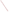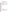# **Consumer Factsheet on: DALAPON**

[List of Contaminants](http://www.epa.gov/safewater/hfacts.html) 

 As part of the Drinking Water and Health pages, this fact sheet is part of a larger publication: **National Primary Drinking Water Regulations** 

 States Environmental Protection Agency (EPA). This is a factsheet about a chemical that may be found in some public or private drinking water supplies. It may cause health problems if found in amounts greater than the health standard set by the United

#### **What is Dalapon and how is it used?**

 along railroad tracks, and in industrial areas. Dalapon is a colorless liquid with an acrid odor sold as sodium or magnesium salt. Dalapon is a herbicide used to control grasses in a wide variety of crops, including fruit trees, beans, coffee, corn, cotton and peas. It is also registered for use in a number of non-crop applications such as lawns, drainage ditches,

 The list of trade names given below may help you find out whether you are using this chemical at home or work.

#### **Trade Names and Synonyms:**

 2,2-dichloro-proprionic acid S-95 Revenge Alatex Basfapon Basinex Crisapon Dawpon-RAE Ded-Weed Dowpon Gramevin Kenapon Liropon Propon Radapon Unipon S-1315 2,2-DPA

## **Why is Dalapon being Regulated?**

 based solely on possible health risks and exposure, are called Maximum Contaminant Level Goals. In 1974, Congress passed the Safe Drinking Water Act. This law requires EPA to determine safe levels of chemicals in drinking water which do or may cause health problems. These non-enforceable levels,

 protection would not cause any of the potential health problems described below. The MCLG for dalapon has been set at 0.2 parts per million (ppm) because EPA believes this level of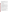Based on this MCLG, EPA has set an enforceable standard called a Maximum Contaminant Level (MCL). MCLs are set as close to the MCLGs as possible, considering the ability of public water systems to detect and remove contaminants using suitable treatment technologies.

 should it occur in drinking water. The MCL has also been set at 0.2 ppm because EPA believes, given present technology and resources, this is the lowest level to which water systems can reasonably be required to remove this contaminant

These drinking water standards and the regulations for ensuring these standards are met, are called National Primary Drinking Water Regulations. All public water supplies must abide by these regulations.

#### **What are the Health Effects?**

Short-term: Dalapon is not known to cause any health problems when people are exposed to it at levels above the MCL for relatively short periods of time.

 Long-term: Dalapon has the potential to cause the following effects from a lifetime exposure at levels above the MCL: increased kidney-to-body weight.

#### **How much Dalapon is produced and released to the environment?**

 Dalapon is released directly to the environment in its use as a herbicide for the control of annual and perennial grasses. Domestic production of dalapon in 1982 ranged between 7 and 9 million lbs. active ingredient. In 1984, its use in California was reported as follows: Non-food use, 92.9% (mostly on rights of way); main food crop treated was sugarbeet (6.7% of total).

#### **What happens to Dalapon when it is released to the environment?**

Dalapon leaches readily in soil, though in some soils, microbes may break it down fast enough to prevent ground water contamination. Still, a persistence of six months has been observed in soils of various forests and tree nurseries. Microbes will also degrade most of any releases to water. Accumulation in aquatic life is not expected to be a problem.

#### **How will Dalapon be Detected in and Removed from My Drinking Water?**

 The regulation for dalapon became effective in 1994. Between 1993 and 1995, EPA required your water supplier to collect water samples every 3 months for one year and analyze them to find out if dalapon is contaminant. present above 1 ppb. If it is present above this level, the system must continue to monitor this

 have been approved by EPA for removing dalapon: Granular activated charcoal. If contaminant levels are found to be consistently above the MCL, your water supplier must take steps to reduce the amount of dalapon so that it is consistently below that level. The following treatment methods

#### **How will I know if Dalapon is in my drinking water?**

 If the levels of dalapon exceed the MCL, 0.2 ppm, the system must notify the public via newspapers, be required to prevent serious risks to public health. radio, TV and other means. Additional actions, such as providing alternative drinking water supplies, may